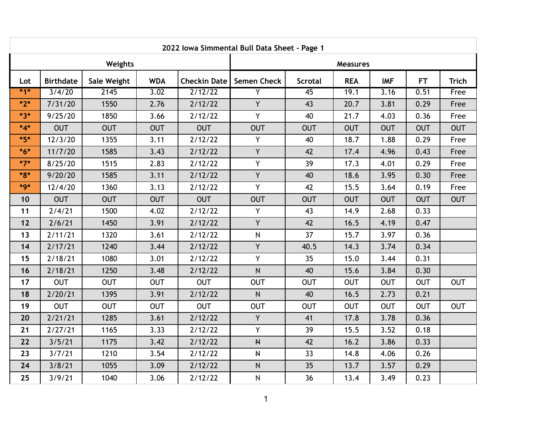| 2022 Iowa Simmental Bull Data Sheet - Page 1 |                  |             |            |                     |                    |                |            |            |            |              |  |  |  |
|----------------------------------------------|------------------|-------------|------------|---------------------|--------------------|----------------|------------|------------|------------|--------------|--|--|--|
| Weights                                      |                  |             |            |                     | <b>Measures</b>    |                |            |            |            |              |  |  |  |
| Lot                                          | <b>Birthdate</b> | Sale Weight | <b>WDA</b> | <b>Checkin Date</b> | <b>Semen Check</b> | <b>Scrotal</b> | <b>REA</b> | <b>IMF</b> | <b>FT</b>  | <b>Trich</b> |  |  |  |
| $*1*$                                        | 3/4/20           | 2145        | 3.02       | 2/12/22             | $\overline{Y}$     | 45             | 19.1       | 3.16       | 0.51       | Free         |  |  |  |
| $*2*$                                        | 7/31/20          | 1550        | 2.76       | 2/12/22             | $\overline{Y}$     | 43             | 20.7       | 3.81       | 0.29       | Free         |  |  |  |
| $*3*$                                        | 9/25/20          | 1850        | 3.66       | 2/12/22             | Y                  | 40             | 21.7       | 4.03       | 0.36       | Free         |  |  |  |
| $*_{4*}$                                     | <b>OUT</b>       | <b>OUT</b>  | <b>OUT</b> | <b>OUT</b>          | <b>OUT</b>         | <b>OUT</b>     | <b>OUT</b> | <b>OUT</b> | <b>OUT</b> | <b>OUT</b>   |  |  |  |
| $*5*$                                        | 12/3/20          | 1355        | 3.11       | 2/12/22             | Y                  | 40             | 18.7       | 1.88       | 0.29       | Free         |  |  |  |
| $*6*$                                        | 11/7/20          | 1585        | 3.43       | 2/12/22             | Y                  | 42             | 17.4       | 4.96       | 0.43       | Free         |  |  |  |
| $*7*$                                        | 8/25/20          | 1515        | 2.83       | 2/12/22             | Y                  | 39             | 17.3       | 4.01       | 0.29       | Free         |  |  |  |
| $*8*$                                        | 9/20/20          | 1585        | 3.11       | 2/12/22             | Y                  | 40             | 18.6       | 3.95       | 0.30       | Free         |  |  |  |
| $*9*$                                        | 12/4/20          | 1360        | 3.13       | 2/12/22             | Y                  | 42             | 15.5       | 3.64       | 0.19       | Free         |  |  |  |
| 10                                           | <b>OUT</b>       | <b>OUT</b>  | <b>OUT</b> | <b>OUT</b>          | <b>OUT</b>         | <b>OUT</b>     | <b>OUT</b> | <b>OUT</b> | <b>OUT</b> | <b>OUT</b>   |  |  |  |
| 11                                           | 2/4/21           | 1500        | 4.02       | 2/12/22             | Y                  | 43             | 14.9       | 2.68       | 0.33       |              |  |  |  |
| $12$                                         | 2/6/21           | 1450        | 3.91       | 2/12/22             | Y                  | 42             | 16.5       | 4.19       | 0.47       |              |  |  |  |
| 13                                           | 2/11/21          | 1320        | 3.61       | 2/12/22             | $\mathsf{N}$       | 37             | 15.7       | 3.97       | 0.36       |              |  |  |  |
| 14                                           | 2/17/21          | 1240        | 3.44       | 2/12/22             | Y                  | 40.5           | 14.3       | 3.74       | 0.34       |              |  |  |  |
| 15                                           | 2/18/21          | 1080        | 3.01       | 2/12/22             | Y                  | 35             | 15.0       | 3.44       | 0.31       |              |  |  |  |
| 16                                           | 2/18/21          | 1250        | 3.48       | 2/12/22             | $\overline{N}$     | 40             | 15.6       | 3.84       | 0.30       |              |  |  |  |
| 17                                           | <b>OUT</b>       | <b>OUT</b>  | <b>OUT</b> | <b>OUT</b>          | <b>OUT</b>         | <b>OUT</b>     | <b>OUT</b> | <b>OUT</b> | <b>OUT</b> | <b>OUT</b>   |  |  |  |
| 18                                           | 2/20/21          | 1395        | 3.91       | 2/12/22             | N                  | 40             | 16.5       | 2.73       | 0.21       |              |  |  |  |
| 19                                           | <b>OUT</b>       | <b>OUT</b>  | <b>OUT</b> | <b>OUT</b>          | <b>OUT</b>         | <b>OUT</b>     | <b>OUT</b> | <b>OUT</b> | <b>OUT</b> | <b>OUT</b>   |  |  |  |
| 20                                           | 2/21/21          | 1285        | 3.61       | 2/12/22             | Y                  | 41             | 17.8       | 3.78       | 0.36       |              |  |  |  |
| 21                                           | 2/27/21          | 1165        | 3.33       | 2/12/22             | Y                  | 39             | 15.5       | 3.52       | 0.18       |              |  |  |  |
| 22                                           | 3/5/21           | 1175        | 3.42       | 2/12/22             | $\pmb{\mathsf{M}}$ | 42             | 16.2       | 3.86       | 0.33       |              |  |  |  |
| 23                                           | 3/7/21           | 1210        | 3.54       | 2/12/22             | $\pmb{\mathsf{H}}$ | 33             | 14.8       | 4.06       | 0.26       |              |  |  |  |
| 24                                           | 3/8/21           | 1055        | 3.09       | 2/12/22             | N                  | 35             | 13.7       | 3.57       | 0.29       |              |  |  |  |
| 25                                           | 3/9/21           | 1040        | 3.06       | 2/12/22             | ${\sf N}$          | 36             | 13.4       | 3.49       | 0.23       |              |  |  |  |